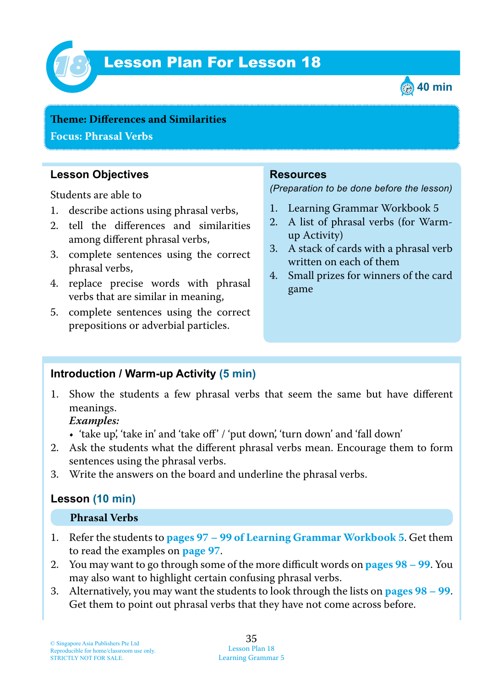

# Lesson Plan For Lesson 18 *18*



**Teme : Differences and Similarities Focus: Phrasal Verbs**

## **Lesson Objectives**

Students are able to

- 1. describe actions using phrasal verbs,
- 2. tell the differences and similarities among different phrasal verbs,
- 3. complete sentences using the correct phrasal verbs,
- 4. replace precise words with phrasal verbs that are similar in meaning,
- 5. complete sentences using the correct prepositions or adverbial particles.

### **Resources**

*(Preparation to be done before the lesson)*

- 1. Learning Grammar Workbook 5
- 2. A list of phrasal verbs (for Warmup Activity)
- 3. A stack of cards with a phrasal verb written on each of them
- 4. Small prizes for winners of the card game

#### **Introduction / Warm-up Activity (5 min)**

1. Show the students a few phrasal verbs that seem the same but have different meanings.

 *Examples:*

- 'take up', 'take in' and 'take off' / 'put down', 'turn down' and 'fall down'
- 2. Ask the students what the different phrasal verbs mean. Encourage them to form sentences using the phrasal verbs.
- 3. Write the answers on the board and underline the phrasal verbs.

# **Lesson (10 min)**

#### **Phrasal Verbs**

- 1. Refer the students to **pages 97 – 99 of Learning Grammar Workbook 5**. Get them to read the examples on **page 97** .
- 2. You may want to go through some of the more difficult words on **pages 98 – 99**. You may also want to highlight certain confusing phrasal verbs.
- 3. Alternatively, you may want the students to look through the lists on **pages 98 – 99**. Get them to point out phrasal verbs that they have not come across before.